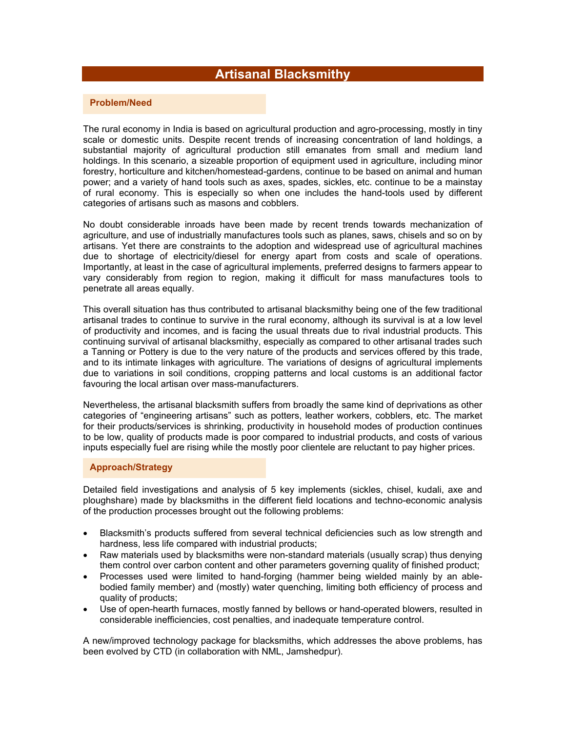# **Artisanal Blacksmithy**

#### **Problem/Need**

The rural economy in India is based on agricultural production and agro-processing, mostly in tiny scale or domestic units. Despite recent trends of increasing concentration of land holdings, a substantial majority of agricultural production still emanates from small and medium land holdings. In this scenario, a sizeable proportion of equipment used in agriculture, including minor forestry, horticulture and kitchen/homestead-gardens, continue to be based on animal and human power; and a variety of hand tools such as axes, spades, sickles, etc. continue to be a mainstay of rural economy. This is especially so when one includes the hand-tools used by different categories of artisans such as masons and cobblers.

No doubt considerable inroads have been made by recent trends towards mechanization of agriculture, and use of industrially manufactures tools such as planes, saws, chisels and so on by artisans. Yet there are constraints to the adoption and widespread use of agricultural machines due to shortage of electricity/diesel for energy apart from costs and scale of operations. Importantly, at least in the case of agricultural implements, preferred designs to farmers appear to vary considerably from region to region, making it difficult for mass manufactures tools to penetrate all areas equally.

This overall situation has thus contributed to artisanal blacksmithy being one of the few traditional artisanal trades to continue to survive in the rural economy, although its survival is at a low level of productivity and incomes, and is facing the usual threats due to rival industrial products. This continuing survival of artisanal blacksmithy, especially as compared to other artisanal trades such a Tanning or Pottery is due to the very nature of the products and services offered by this trade, and to its intimate linkages with agriculture. The variations of designs of agricultural implements due to variations in soil conditions, cropping patterns and local customs is an additional factor favouring the local artisan over mass-manufacturers.

Nevertheless, the artisanal blacksmith suffers from broadly the same kind of deprivations as other categories of "engineering artisans" such as potters, leather workers, cobblers, etc. The market for their products/services is shrinking, productivity in household modes of production continues to be low, quality of products made is poor compared to industrial products, and costs of various inputs especially fuel are rising while the mostly poor clientele are reluctant to pay higher prices.

# **Approach/Strategy**

Detailed field investigations and analysis of 5 key implements (sickles, chisel, kudali, axe and ploughshare) made by blacksmiths in the different field locations and techno-economic analysis of the production processes brought out the following problems:

- Blacksmith's products suffered from several technical deficiencies such as low strength and hardness, less life compared with industrial products;
- Raw materials used by blacksmiths were non-standard materials (usually scrap) thus denying them control over carbon content and other parameters governing quality of finished product;
- Processes used were limited to hand-forging (hammer being wielded mainly by an ablebodied family member) and (mostly) water quenching, limiting both efficiency of process and quality of products;
- Use of open-hearth furnaces, mostly fanned by bellows or hand-operated blowers, resulted in considerable inefficiencies, cost penalties, and inadequate temperature control.

A new/improved technology package for blacksmiths, which addresses the above problems, has been evolved by CTD (in collaboration with NML, Jamshedpur).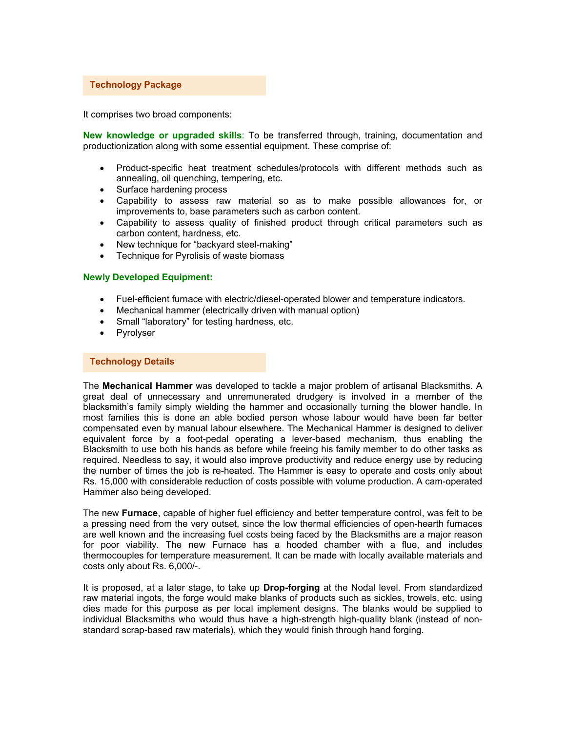# **Technology Package**

It comprises two broad components:

**New knowledge or upgraded skills**: To be transferred through, training, documentation and productionization along with some essential equipment. These comprise of:

- Product-specific heat treatment schedules/protocols with different methods such as annealing, oil quenching, tempering, etc.
- Surface hardening process
- Capability to assess raw material so as to make possible allowances for, or improvements to, base parameters such as carbon content.
- Capability to assess quality of finished product through critical parameters such as carbon content, hardness, etc.
- New technique for "backyard steel-making"
- Technique for Pyrolisis of waste biomass

#### **Newly Developed Equipment:**

- Fuel-efficient furnace with electric/diesel-operated blower and temperature indicators.
- Mechanical hammer (electrically driven with manual option)
- Small "laboratory" for testing hardness, etc.
- Pyrolyser

#### **Technology Details**

The **Mechanical Hammer** was developed to tackle a major problem of artisanal Blacksmiths. A great deal of unnecessary and unremunerated drudgery is involved in a member of the blacksmith's family simply wielding the hammer and occasionally turning the blower handle. In most families this is done an able bodied person whose labour would have been far better compensated even by manual labour elsewhere. The Mechanical Hammer is designed to deliver equivalent force by a foot-pedal operating a lever-based mechanism, thus enabling the Blacksmith to use both his hands as before while freeing his family member to do other tasks as required. Needless to say, it would also improve productivity and reduce energy use by reducing the number of times the job is re-heated. The Hammer is easy to operate and costs only about Rs. 15,000 with considerable reduction of costs possible with volume production. A cam-operated Hammer also being developed.

The new **Furnace**, capable of higher fuel efficiency and better temperature control, was felt to be a pressing need from the very outset, since the low thermal efficiencies of open-hearth furnaces are well known and the increasing fuel costs being faced by the Blacksmiths are a major reason for poor viability. The new Furnace has a hooded chamber with a flue, and includes thermocouples for temperature measurement. It can be made with locally available materials and costs only about Rs. 6,000/-.

It is proposed, at a later stage, to take up **Drop-forging** at the Nodal level. From standardized raw material ingots, the forge would make blanks of products such as sickles, trowels, etc. using dies made for this purpose as per local implement designs. The blanks would be supplied to individual Blacksmiths who would thus have a high-strength high-quality blank (instead of nonstandard scrap-based raw materials), which they would finish through hand forging.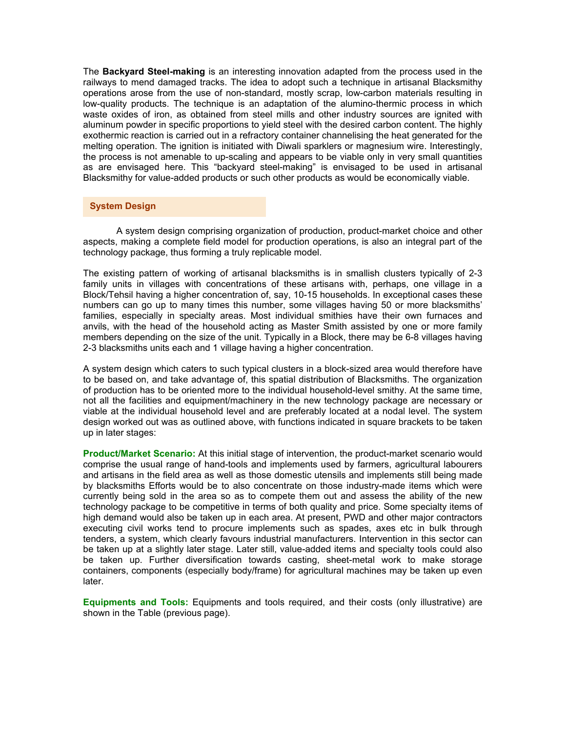The **Backyard Steel-making** is an interesting innovation adapted from the process used in the railways to mend damaged tracks. The idea to adopt such a technique in artisanal Blacksmithy operations arose from the use of non-standard, mostly scrap, low-carbon materials resulting in low-quality products. The technique is an adaptation of the alumino-thermic process in which waste oxides of iron, as obtained from steel mills and other industry sources are ignited with aluminum powder in specific proportions to yield steel with the desired carbon content. The highly exothermic reaction is carried out in a refractory container channelising the heat generated for the melting operation. The ignition is initiated with Diwali sparklers or magnesium wire. Interestingly, the process is not amenable to up-scaling and appears to be viable only in very small quantities as are envisaged here. This "backyard steel-making" is envisaged to be used in artisanal Blacksmithy for value-added products or such other products as would be economically viable.

### **System Design**

 A system design comprising organization of production, product-market choice and other aspects, making a complete field model for production operations, is also an integral part of the technology package, thus forming a truly replicable model.

The existing pattern of working of artisanal blacksmiths is in smallish clusters typically of 2-3 family units in villages with concentrations of these artisans with, perhaps, one village in a Block/Tehsil having a higher concentration of, say, 10-15 households. In exceptional cases these numbers can go up to many times this number, some villages having 50 or more blacksmiths' families, especially in specialty areas. Most individual smithies have their own furnaces and anvils, with the head of the household acting as Master Smith assisted by one or more family members depending on the size of the unit. Typically in a Block, there may be 6-8 villages having 2-3 blacksmiths units each and 1 village having a higher concentration.

A system design which caters to such typical clusters in a block-sized area would therefore have to be based on, and take advantage of, this spatial distribution of Blacksmiths. The organization of production has to be oriented more to the individual household-level smithy. At the same time, not all the facilities and equipment/machinery in the new technology package are necessary or viable at the individual household level and are preferably located at a nodal level. The system design worked out was as outlined above, with functions indicated in square brackets to be taken up in later stages:

**Product/Market Scenario:** At this initial stage of intervention, the product-market scenario would comprise the usual range of hand-tools and implements used by farmers, agricultural labourers and artisans in the field area as well as those domestic utensils and implements still being made by blacksmiths Efforts would be to also concentrate on those industry-made items which were currently being sold in the area so as to compete them out and assess the ability of the new technology package to be competitive in terms of both quality and price. Some specialty items of high demand would also be taken up in each area. At present, PWD and other major contractors executing civil works tend to procure implements such as spades, axes etc in bulk through tenders, a system, which clearly favours industrial manufacturers. Intervention in this sector can be taken up at a slightly later stage. Later still, value-added items and specialty tools could also be taken up. Further diversification towards casting, sheet-metal work to make storage containers, components (especially body/frame) for agricultural machines may be taken up even later.

**Equipments and Tools:** Equipments and tools required, and their costs (only illustrative) are shown in the Table (previous page).